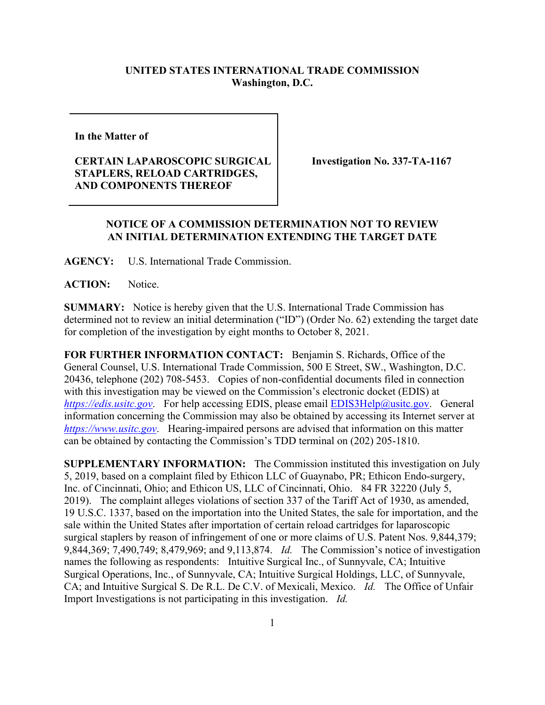## **UNITED STATES INTERNATIONAL TRADE COMMISSION Washington, D.C.**

**In the Matter of** 

## **CERTAIN LAPAROSCOPIC SURGICAL STAPLERS, RELOAD CARTRIDGES, AND COMPONENTS THEREOF**

**Investigation No. 337-TA-1167**

## **NOTICE OF A COMMISSION DETERMINATION NOT TO REVIEW AN INITIAL DETERMINATION EXTENDING THE TARGET DATE**

**AGENCY:** U.S. International Trade Commission.

**ACTION:** Notice.

**SUMMARY:** Notice is hereby given that the U.S. International Trade Commission has determined not to review an initial determination ("ID") (Order No. 62) extending the target date for completion of the investigation by eight months to October 8, 2021.

**FOR FURTHER INFORMATION CONTACT:** Benjamin S. Richards, Office of the General Counsel, U.S. International Trade Commission, 500 E Street, SW., Washington, D.C. 20436, telephone (202) 708-5453. Copies of non-confidential documents filed in connection with this investigation may be viewed on the Commission's electronic docket (EDIS) at *[https://edis.usitc.gov](https://edis.usitc.gov/)*. For help accessing EDIS, please email [EDIS3Help@usitc.gov.](mailto:EDIS3Help@usitc.gov) General information concerning the Commission may also be obtained by accessing its Internet server at *[https://www.usitc.gov](https://www.usitc.gov/)*. Hearing-impaired persons are advised that information on this matter can be obtained by contacting the Commission's TDD terminal on (202) 205-1810.

**SUPPLEMENTARY INFORMATION:** The Commission instituted this investigation on July 5, 2019, based on a complaint filed by Ethicon LLC of Guaynabo, PR; Ethicon Endo-surgery, Inc. of Cincinnati, Ohio; and Ethicon US, LLC of Cincinnati, Ohio. 84 FR 32220 (July 5, 2019). The complaint alleges violations of section 337 of the Tariff Act of 1930, as amended, 19 U.S.C. 1337, based on the importation into the United States, the sale for importation, and the sale within the United States after importation of certain reload cartridges for laparoscopic surgical staplers by reason of infringement of one or more claims of U.S. Patent Nos. 9,844,379; 9,844,369; 7,490,749; 8,479,969; and 9,113,874. *Id.* The Commission's notice of investigation names the following as respondents: Intuitive Surgical Inc., of Sunnyvale, CA; Intuitive Surgical Operations, Inc., of Sunnyvale, CA; Intuitive Surgical Holdings, LLC, of Sunnyvale, CA; and Intuitive Surgical S. De R.L. De C.V. of Mexicali, Mexico. *Id.* The Office of Unfair Import Investigations is not participating in this investigation. *Id.*